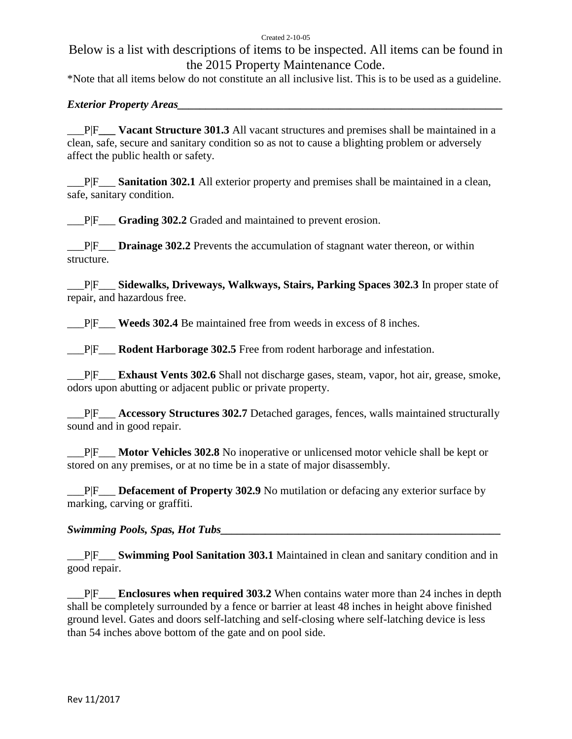#### Created 2-10-05

# Below is a list with descriptions of items to be inspected. All items can be found in the 2015 Property Maintenance Code.

\*Note that all items below do not constitute an all inclusive list. This is to be used as a guideline.

### *Exterior Property Areas*

\_\_\_P|F**\_\_\_ Vacant Structure 301.3** All vacant structures and premises shall be maintained in a clean, safe, secure and sanitary condition so as not to cause a blighting problem or adversely affect the public health or safety.

\_\_\_P|F\_\_\_ **Sanitation 302.1** All exterior property and premises shall be maintained in a clean, safe, sanitary condition.

\_\_\_P|F\_\_\_ **Grading 302.2** Graded and maintained to prevent erosion.

\_\_\_P|F\_\_\_ **Drainage 302.2** Prevents the accumulation of stagnant water thereon, or within structure.

\_\_\_P|F\_\_\_ **Sidewalks, Driveways, Walkways, Stairs, Parking Spaces 302.3** In proper state of repair, and hazardous free.

\_\_\_P|F\_\_\_ **Weeds 302.4** Be maintained free from weeds in excess of 8 inches.

\_\_\_P|F\_\_\_ **Rodent Harborage 302.5** Free from rodent harborage and infestation.

\_\_\_P|F\_\_\_ **Exhaust Vents 302.6** Shall not discharge gases, steam, vapor, hot air, grease, smoke, odors upon abutting or adjacent public or private property.

\_\_\_P|F\_\_\_ **Accessory Structures 302.7** Detached garages, fences, walls maintained structurally sound and in good repair.

\_\_\_P|F\_\_\_ **Motor Vehicles 302.8** No inoperative or unlicensed motor vehicle shall be kept or stored on any premises, or at no time be in a state of major disassembly.

\_\_\_P|F\_\_\_ **Defacement of Property 302.9** No mutilation or defacing any exterior surface by marking, carving or graffiti.

### *Swimming Pools, Spas, Hot Tubs*

\_\_\_P|F\_\_\_ **Swimming Pool Sanitation 303.1** Maintained in clean and sanitary condition and in good repair.

\_\_\_P|F\_\_\_ **Enclosures when required 303.2** When contains water more than 24 inches in depth shall be completely surrounded by a fence or barrier at least 48 inches in height above finished ground level. Gates and doors self-latching and self-closing where self-latching device is less than 54 inches above bottom of the gate and on pool side.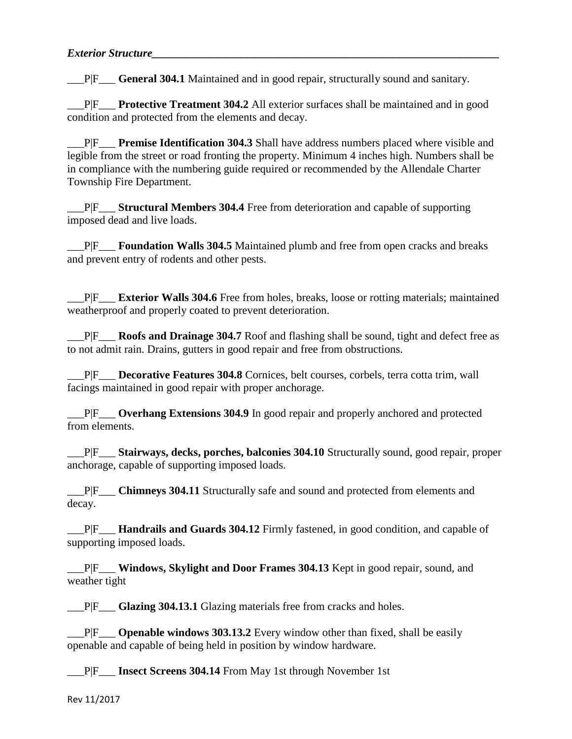\_\_\_P|F\_\_\_ **General 304.1** Maintained and in good repair, structurally sound and sanitary.

\_\_\_P|F\_\_\_ **Protective Treatment 304.2** All exterior surfaces shall be maintained and in good condition and protected from the elements and decay.

\_\_\_P|F\_\_\_ **Premise Identification 304.3** Shall have address numbers placed where visible and legible from the street or road fronting the property. Minimum 4 inches high. Numbers shall be in compliance with the numbering guide required or recommended by the Allendale Charter Township Fire Department.

\_\_\_P|F\_\_\_ **Structural Members 304.4** Free from deterioration and capable of supporting imposed dead and live loads.

\_\_\_P|F\_\_\_ **Foundation Walls 304.5** Maintained plumb and free from open cracks and breaks and prevent entry of rodents and other pests.

\_\_\_P|F\_\_\_ **Exterior Walls 304.6** Free from holes, breaks, loose or rotting materials; maintained weatherproof and properly coated to prevent deterioration.

\_\_\_P|F\_\_\_ **Roofs and Drainage 304.7** Roof and flashing shall be sound, tight and defect free as to not admit rain. Drains, gutters in good repair and free from obstructions.

\_\_\_P|F\_\_\_ **Decorative Features 304.8** Cornices, belt courses, corbels, terra cotta trim, wall facings maintained in good repair with proper anchorage.

\_\_\_P|F\_\_\_ **Overhang Extensions 304.9** In good repair and properly anchored and protected from elements.

\_\_\_P|F\_\_\_ **Stairways, decks, porches, balconies 304.10** Structurally sound, good repair, proper anchorage, capable of supporting imposed loads.

\_\_\_P|F\_\_\_ **Chimneys 304.11** Structurally safe and sound and protected from elements and decay.

\_\_\_P|F\_\_\_ **Handrails and Guards 304.12** Firmly fastened, in good condition, and capable of supporting imposed loads.

\_\_\_P|F\_\_\_ **Windows, Skylight and Door Frames 304.13** Kept in good repair, sound, and weather tight

P|F Glazing 304.13.1 Glazing materials free from cracks and holes.

\_\_\_P|F\_\_\_ **Openable windows 303.13.2** Every window other than fixed, shall be easily openable and capable of being held in position by window hardware.

\_\_\_P|F\_\_\_ **Insect Screens 304.14** From May 1st through November 1st

Rev 11/2017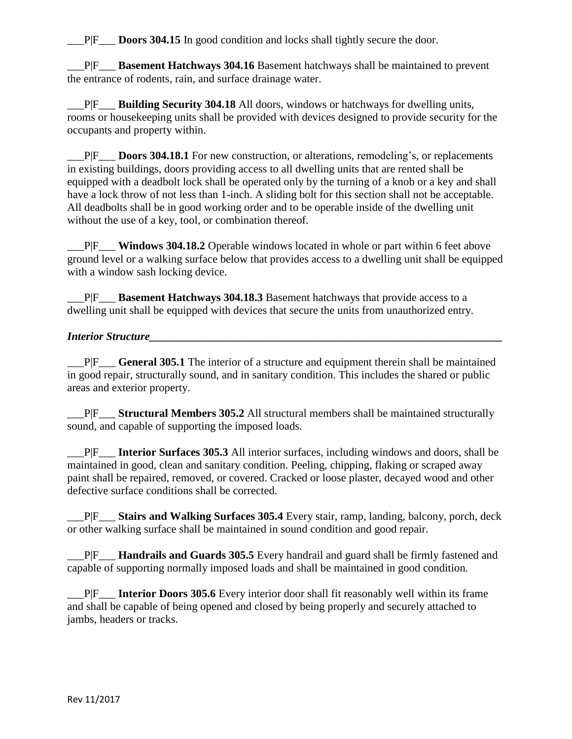\_\_\_P|F\_\_\_ **Doors 304.15** In good condition and locks shall tightly secure the door.

\_\_\_P|F\_\_\_ **Basement Hatchways 304.16** Basement hatchways shall be maintained to prevent the entrance of rodents, rain, and surface drainage water.

\_\_\_P|F\_\_\_ **Building Security 304.18** All doors, windows or hatchways for dwelling units, rooms or housekeeping units shall be provided with devices designed to provide security for the occupants and property within.

\_\_\_P|F\_\_\_ **Doors 304.18.1** For new construction, or alterations, remodeling's, or replacements in existing buildings, doors providing access to all dwelling units that are rented shall be equipped with a deadbolt lock shall be operated only by the turning of a knob or a key and shall have a lock throw of not less than 1-inch. A sliding bolt for this section shall not be acceptable. All deadbolts shall be in good working order and to be operable inside of the dwelling unit without the use of a key, tool, or combination thereof.

\_\_\_P|F\_\_\_ **Windows 304.18.2** Operable windows located in whole or part within 6 feet above ground level or a walking surface below that provides access to a dwelling unit shall be equipped with a window sash locking device.

\_\_\_P|F\_\_\_ **Basement Hatchways 304.18.3** Basement hatchways that provide access to a dwelling unit shall be equipped with devices that secure the units from unauthorized entry.

### *Interior Structure*

\_\_\_P|F\_\_\_ **General 305.1** The interior of a structure and equipment therein shall be maintained in good repair, structurally sound, and in sanitary condition. This includes the shared or public areas and exterior property.

\_\_\_P|F\_\_\_ **Structural Members 305.2** All structural members shall be maintained structurally sound, and capable of supporting the imposed loads.

\_\_\_P|F\_\_\_ **Interior Surfaces 305.3** All interior surfaces, including windows and doors, shall be maintained in good, clean and sanitary condition. Peeling, chipping, flaking or scraped away paint shall be repaired, removed, or covered. Cracked or loose plaster, decayed wood and other defective surface conditions shall be corrected.

\_\_\_P|F\_\_\_ **Stairs and Walking Surfaces 305.4** Every stair, ramp, landing, balcony, porch, deck or other walking surface shall be maintained in sound condition and good repair.

\_\_\_P|F\_\_\_ **Handrails and Guards 305.5** Every handrail and guard shall be firmly fastened and capable of supporting normally imposed loads and shall be maintained in good condition.

\_\_\_P|F\_\_\_ **Interior Doors 305.6** Every interior door shall fit reasonably well within its frame and shall be capable of being opened and closed by being properly and securely attached to jambs, headers or tracks.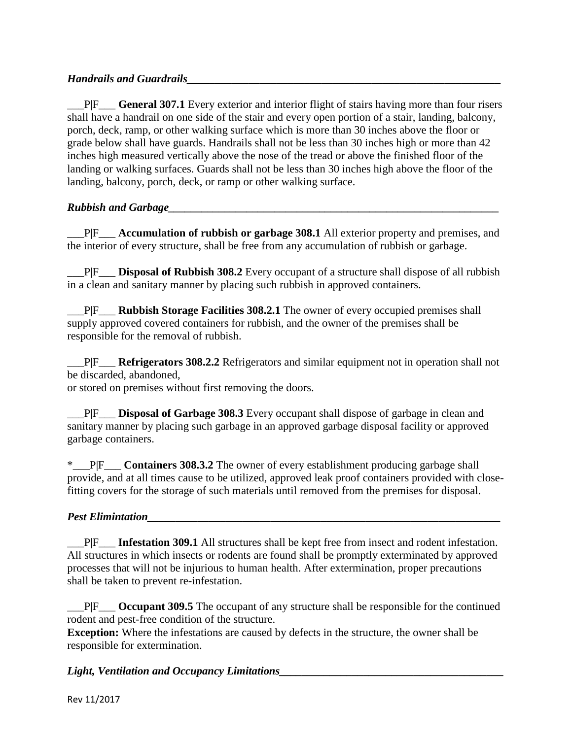### *Handrails and Guardrails*

\_\_\_P|F\_\_\_ **General 307.1** Every exterior and interior flight of stairs having more than four risers shall have a handrail on one side of the stair and every open portion of a stair, landing, balcony, porch, deck, ramp, or other walking surface which is more than 30 inches above the floor or grade below shall have guards. Handrails shall not be less than 30 inches high or more than 42 inches high measured vertically above the nose of the tread or above the finished floor of the landing or walking surfaces. Guards shall not be less than 30 inches high above the floor of the landing, balcony, porch, deck, or ramp or other walking surface.

### *Rubbish and Garbage* and *Garbage* and *Garbage* and *Garbage* and *Garbage* and *Garbage* and *Garbage* and *Garbage* and *Garbage* and *Garbage* and *Garbage* and *Garbage* and *Garbage* and *Garbage* and *Garbage* and

\_\_\_P|F\_\_\_ **Accumulation of rubbish or garbage 308.1** All exterior property and premises, and the interior of every structure, shall be free from any accumulation of rubbish or garbage.

\_\_\_P|F\_\_\_ **Disposal of Rubbish 308.2** Every occupant of a structure shall dispose of all rubbish in a clean and sanitary manner by placing such rubbish in approved containers.

\_\_\_P|F\_\_\_ **Rubbish Storage Facilities 308.2.1** The owner of every occupied premises shall supply approved covered containers for rubbish, and the owner of the premises shall be responsible for the removal of rubbish.

\_\_\_P|F\_\_\_ **Refrigerators 308.2.2** Refrigerators and similar equipment not in operation shall not be discarded, abandoned,

or stored on premises without first removing the doors.

\_\_\_P|F\_\_\_ **Disposal of Garbage 308.3** Every occupant shall dispose of garbage in clean and sanitary manner by placing such garbage in an approved garbage disposal facility or approved garbage containers.

\*\_\_\_P|F\_\_\_ **Containers 308.3.2** The owner of every establishment producing garbage shall provide, and at all times cause to be utilized, approved leak proof containers provided with closefitting covers for the storage of such materials until removed from the premises for disposal.

### *Pest Elimintation*

\_\_\_P|F\_\_\_ **Infestation 309.1** All structures shall be kept free from insect and rodent infestation. All structures in which insects or rodents are found shall be promptly exterminated by approved processes that will not be injurious to human health. After extermination, proper precautions shall be taken to prevent re-infestation.

\_\_\_P|F\_\_\_ **Occupant 309.5** The occupant of any structure shall be responsible for the continued rodent and pest-free condition of the structure.

**Exception:** Where the infestations are caused by defects in the structure, the owner shall be responsible for extermination.

### Light, Ventilation and Occupancy Limitations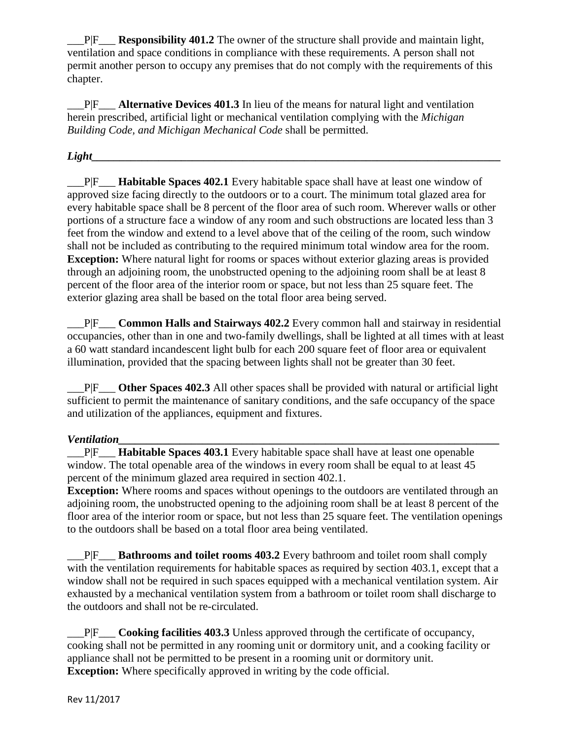\_\_\_P|F\_\_\_ **Responsibility 401.2** The owner of the structure shall provide and maintain light, ventilation and space conditions in compliance with these requirements. A person shall not permit another person to occupy any premises that do not comply with the requirements of this chapter.

\_\_\_P|F\_\_\_ **Alternative Devices 401.3** In lieu of the means for natural light and ventilation herein prescribed, artificial light or mechanical ventilation complying with the *Michigan Building Code, and Michigan Mechanical Code* shall be permitted.

### $Lieht$

\_\_\_P|F\_\_\_ **Habitable Spaces 402.1** Every habitable space shall have at least one window of approved size facing directly to the outdoors or to a court. The minimum total glazed area for every habitable space shall be 8 percent of the floor area of such room. Wherever walls or other portions of a structure face a window of any room and such obstructions are located less than 3 feet from the window and extend to a level above that of the ceiling of the room, such window shall not be included as contributing to the required minimum total window area for the room. **Exception:** Where natural light for rooms or spaces without exterior glazing areas is provided through an adjoining room, the unobstructed opening to the adjoining room shall be at least 8 percent of the floor area of the interior room or space, but not less than 25 square feet. The exterior glazing area shall be based on the total floor area being served.

\_\_\_P|F\_\_\_ **Common Halls and Stairways 402.2** Every common hall and stairway in residential occupancies, other than in one and two-family dwellings, shall be lighted at all times with at least a 60 watt standard incandescent light bulb for each 200 square feet of floor area or equivalent illumination, provided that the spacing between lights shall not be greater than 30 feet.

\_\_\_P|F\_\_\_ **Other Spaces 402.3** All other spaces shall be provided with natural or artificial light sufficient to permit the maintenance of sanitary conditions, and the safe occupancy of the space and utilization of the appliances, equipment and fixtures.

### $$

\_\_\_P|F\_\_\_ **Habitable Spaces 403.1** Every habitable space shall have at least one openable window. The total openable area of the windows in every room shall be equal to at least 45 percent of the minimum glazed area required in section 402.1.

**Exception:** Where rooms and spaces without openings to the outdoors are ventilated through an adjoining room, the unobstructed opening to the adjoining room shall be at least 8 percent of the floor area of the interior room or space, but not less than 25 square feet. The ventilation openings to the outdoors shall be based on a total floor area being ventilated.

\_\_\_P|F\_\_\_ **Bathrooms and toilet rooms 403.2** Every bathroom and toilet room shall comply with the ventilation requirements for habitable spaces as required by section 403.1, except that a window shall not be required in such spaces equipped with a mechanical ventilation system. Air exhausted by a mechanical ventilation system from a bathroom or toilet room shall discharge to the outdoors and shall not be re-circulated.

\_\_\_P|F\_\_\_ **Cooking facilities 403.3** Unless approved through the certificate of occupancy, cooking shall not be permitted in any rooming unit or dormitory unit, and a cooking facility or appliance shall not be permitted to be present in a rooming unit or dormitory unit. **Exception:** Where specifically approved in writing by the code official.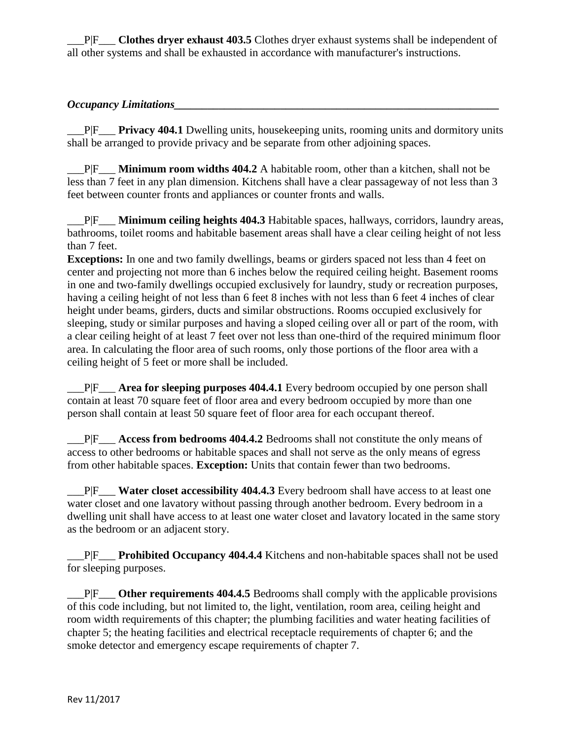\_\_\_P|F\_\_\_ **Clothes dryer exhaust 403.5** Clothes dryer exhaust systems shall be independent of all other systems and shall be exhausted in accordance with manufacturer's instructions.

### *Occupancy Limitations*

\_\_\_P|F\_\_\_ **Privacy 404.1** Dwelling units, housekeeping units, rooming units and dormitory units shall be arranged to provide privacy and be separate from other adjoining spaces.

\_\_\_P|F\_\_\_ **Minimum room widths 404.2** A habitable room, other than a kitchen, shall not be less than 7 feet in any plan dimension. Kitchens shall have a clear passageway of not less than 3 feet between counter fronts and appliances or counter fronts and walls.

\_\_\_P|F\_\_\_ **Minimum ceiling heights 404.3** Habitable spaces, hallways, corridors, laundry areas, bathrooms, toilet rooms and habitable basement areas shall have a clear ceiling height of not less than 7 feet.

**Exceptions:** In one and two family dwellings, beams or girders spaced not less than 4 feet on center and projecting not more than 6 inches below the required ceiling height. Basement rooms in one and two-family dwellings occupied exclusively for laundry, study or recreation purposes, having a ceiling height of not less than 6 feet 8 inches with not less than 6 feet 4 inches of clear height under beams, girders, ducts and similar obstructions. Rooms occupied exclusively for sleeping, study or similar purposes and having a sloped ceiling over all or part of the room, with a clear ceiling height of at least 7 feet over not less than one-third of the required minimum floor area. In calculating the floor area of such rooms, only those portions of the floor area with a ceiling height of 5 feet or more shall be included.

\_\_\_P|F\_\_\_ **Area for sleeping purposes 404.4.1** Every bedroom occupied by one person shall contain at least 70 square feet of floor area and every bedroom occupied by more than one person shall contain at least 50 square feet of floor area for each occupant thereof.

\_\_\_P|F\_\_\_ **Access from bedrooms 404.4.2** Bedrooms shall not constitute the only means of access to other bedrooms or habitable spaces and shall not serve as the only means of egress from other habitable spaces. **Exception:** Units that contain fewer than two bedrooms.

\_\_\_P|F\_\_\_ **Water closet accessibility 404.4.3** Every bedroom shall have access to at least one water closet and one lavatory without passing through another bedroom. Every bedroom in a dwelling unit shall have access to at least one water closet and lavatory located in the same story as the bedroom or an adjacent story.

\_\_\_P|F\_\_\_ **Prohibited Occupancy 404.4.4** Kitchens and non-habitable spaces shall not be used for sleeping purposes.

\_\_\_P|F\_\_\_ **Other requirements 404.4.5** Bedrooms shall comply with the applicable provisions of this code including, but not limited to, the light, ventilation, room area, ceiling height and room width requirements of this chapter; the plumbing facilities and water heating facilities of chapter 5; the heating facilities and electrical receptacle requirements of chapter 6; and the smoke detector and emergency escape requirements of chapter 7.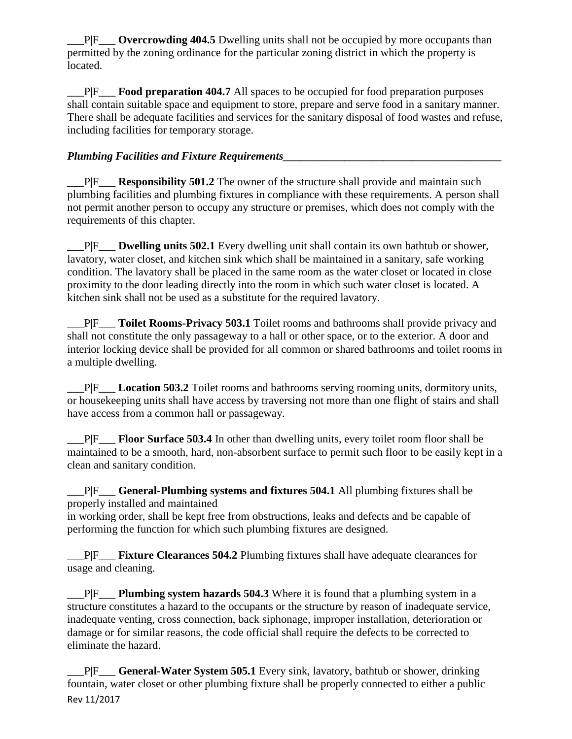\_\_\_P|F\_\_\_ **Overcrowding 404.5** Dwelling units shall not be occupied by more occupants than permitted by the zoning ordinance for the particular zoning district in which the property is located.

\_\_\_P|F\_\_\_ **Food preparation 404.7** All spaces to be occupied for food preparation purposes shall contain suitable space and equipment to store, prepare and serve food in a sanitary manner. There shall be adequate facilities and services for the sanitary disposal of food wastes and refuse, including facilities for temporary storage.

## *Plumbing Facilities and Fixture Requirements*

P|F Responsibility 501.2 The owner of the structure shall provide and maintain such plumbing facilities and plumbing fixtures in compliance with these requirements. A person shall not permit another person to occupy any structure or premises, which does not comply with the requirements of this chapter.

\_\_\_P|F\_\_\_ **Dwelling units 502.1** Every dwelling unit shall contain its own bathtub or shower, lavatory, water closet, and kitchen sink which shall be maintained in a sanitary, safe working condition. The lavatory shall be placed in the same room as the water closet or located in close proximity to the door leading directly into the room in which such water closet is located. A kitchen sink shall not be used as a substitute for the required lavatory.

\_\_\_P|F\_\_\_ **Toilet Rooms-Privacy 503.1** Toilet rooms and bathrooms shall provide privacy and shall not constitute the only passageway to a hall or other space, or to the exterior. A door and interior locking device shall be provided for all common or shared bathrooms and toilet rooms in a multiple dwelling.

\_\_\_P|F\_\_\_ **Location 503.2** Toilet rooms and bathrooms serving rooming units, dormitory units, or housekeeping units shall have access by traversing not more than one flight of stairs and shall have access from a common hall or passageway.

\_\_\_P|F\_\_\_ **Floor Surface 503.4** In other than dwelling units, every toilet room floor shall be maintained to be a smooth, hard, non-absorbent surface to permit such floor to be easily kept in a clean and sanitary condition.

\_\_\_P|F\_\_\_ **General-Plumbing systems and fixtures 504.1** All plumbing fixtures shall be properly installed and maintained

in working order, shall be kept free from obstructions, leaks and defects and be capable of performing the function for which such plumbing fixtures are designed.

\_\_\_P|F\_\_\_ **Fixture Clearances 504.2** Plumbing fixtures shall have adequate clearances for usage and cleaning.

\_\_\_P|F\_\_\_ **Plumbing system hazards 504.3** Where it is found that a plumbing system in a structure constitutes a hazard to the occupants or the structure by reason of inadequate service, inadequate venting, cross connection, back siphonage, improper installation, deterioration or damage or for similar reasons, the code official shall require the defects to be corrected to eliminate the hazard.

Rev 11/2017 \_\_\_P|F\_\_\_ **General-Water System 505.1** Every sink, lavatory, bathtub or shower, drinking fountain, water closet or other plumbing fixture shall be properly connected to either a public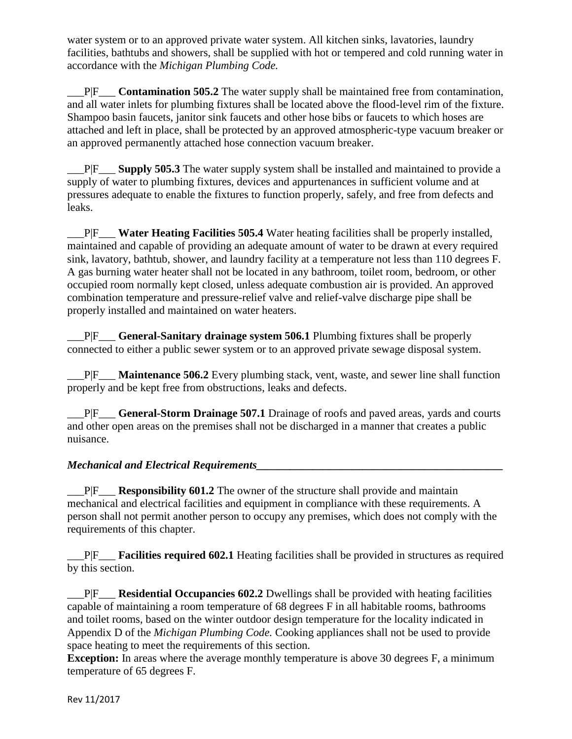water system or to an approved private water system. All kitchen sinks, lavatories, laundry facilities, bathtubs and showers, shall be supplied with hot or tempered and cold running water in accordance with the *Michigan Plumbing Code.*

\_\_\_P|F\_\_\_ **Contamination 505.2** The water supply shall be maintained free from contamination, and all water inlets for plumbing fixtures shall be located above the flood-level rim of the fixture. Shampoo basin faucets, janitor sink faucets and other hose bibs or faucets to which hoses are attached and left in place, shall be protected by an approved atmospheric-type vacuum breaker or an approved permanently attached hose connection vacuum breaker.

\_\_\_P|F\_\_\_ **Supply 505.3** The water supply system shall be installed and maintained to provide a supply of water to plumbing fixtures, devices and appurtenances in sufficient volume and at pressures adequate to enable the fixtures to function properly, safely, and free from defects and leaks.

\_\_\_P|F\_\_\_ **Water Heating Facilities 505.4** Water heating facilities shall be properly installed, maintained and capable of providing an adequate amount of water to be drawn at every required sink, lavatory, bathtub, shower, and laundry facility at a temperature not less than 110 degrees F. A gas burning water heater shall not be located in any bathroom, toilet room, bedroom, or other occupied room normally kept closed, unless adequate combustion air is provided. An approved combination temperature and pressure-relief valve and relief-valve discharge pipe shall be properly installed and maintained on water heaters.

\_\_\_P|F\_\_\_ **General-Sanitary drainage system 506.1** Plumbing fixtures shall be properly connected to either a public sewer system or to an approved private sewage disposal system.

\_\_\_P|F\_\_\_ **Maintenance 506.2** Every plumbing stack, vent, waste, and sewer line shall function properly and be kept free from obstructions, leaks and defects.

\_\_\_P|F\_\_\_ **General-Storm Drainage 507.1** Drainage of roofs and paved areas, yards and courts and other open areas on the premises shall not be discharged in a manner that creates a public nuisance.

### *Mechanical and Electrical Requirements\_\_\_\_\_\_\_\_\_\_\_\_\_\_\_\_\_\_\_\_\_\_\_\_\_\_\_\_\_\_\_\_\_\_\_\_\_\_\_\_\_\_\_\_*

\_\_\_P|F\_\_\_ **Responsibility 601.2** The owner of the structure shall provide and maintain mechanical and electrical facilities and equipment in compliance with these requirements. A person shall not permit another person to occupy any premises, which does not comply with the requirements of this chapter.

\_\_\_P|F\_\_\_ **Facilities required 602.1** Heating facilities shall be provided in structures as required by this section.

\_\_\_P|F\_\_\_ **Residential Occupancies 602.2** Dwellings shall be provided with heating facilities capable of maintaining a room temperature of 68 degrees F in all habitable rooms, bathrooms and toilet rooms, based on the winter outdoor design temperature for the locality indicated in Appendix D of the *Michigan Plumbing Code.* Cooking appliances shall not be used to provide space heating to meet the requirements of this section.

**Exception:** In areas where the average monthly temperature is above 30 degrees F, a minimum temperature of 65 degrees F.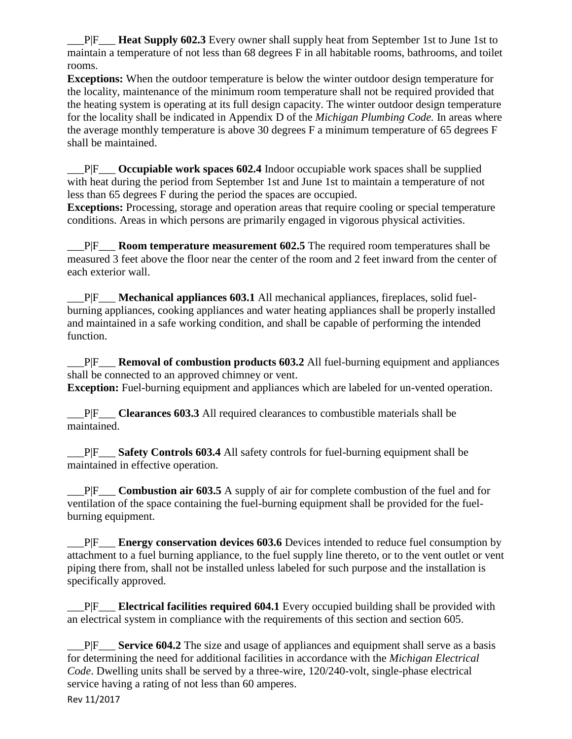\_\_\_P|F\_\_\_ **Heat Supply 602.3** Every owner shall supply heat from September 1st to June 1st to maintain a temperature of not less than 68 degrees F in all habitable rooms, bathrooms, and toilet rooms.

**Exceptions:** When the outdoor temperature is below the winter outdoor design temperature for the locality, maintenance of the minimum room temperature shall not be required provided that the heating system is operating at its full design capacity. The winter outdoor design temperature for the locality shall be indicated in Appendix D of the *Michigan Plumbing Code.* In areas where the average monthly temperature is above 30 degrees F a minimum temperature of 65 degrees F shall be maintained.

\_\_\_P|F\_\_\_ **Occupiable work spaces 602.4** Indoor occupiable work spaces shall be supplied with heat during the period from September 1st and June 1st to maintain a temperature of not less than 65 degrees F during the period the spaces are occupied.

**Exceptions:** Processing, storage and operation areas that require cooling or special temperature conditions. Areas in which persons are primarily engaged in vigorous physical activities.

\_\_\_P|F\_\_\_ **Room temperature measurement 602.5** The required room temperatures shall be measured 3 feet above the floor near the center of the room and 2 feet inward from the center of each exterior wall.

\_\_\_P|F\_\_\_ **Mechanical appliances 603.1** All mechanical appliances, fireplaces, solid fuelburning appliances, cooking appliances and water heating appliances shall be properly installed and maintained in a safe working condition, and shall be capable of performing the intended function.

\_\_\_P|F\_\_\_ **Removal of combustion products 603.2** All fuel-burning equipment and appliances shall be connected to an approved chimney or vent.

**Exception:** Fuel-burning equipment and appliances which are labeled for un-vented operation.

\_\_\_P|F\_\_\_ **Clearances 603.3** All required clearances to combustible materials shall be maintained.

\_\_\_P|F\_\_\_ **Safety Controls 603.4** All safety controls for fuel-burning equipment shall be maintained in effective operation.

\_\_\_P|F\_\_\_ **Combustion air 603.5** A supply of air for complete combustion of the fuel and for ventilation of the space containing the fuel-burning equipment shall be provided for the fuelburning equipment.

\_\_\_P|F\_\_\_ **Energy conservation devices 603.6** Devices intended to reduce fuel consumption by attachment to a fuel burning appliance, to the fuel supply line thereto, or to the vent outlet or vent piping there from, shall not be installed unless labeled for such purpose and the installation is specifically approved.

\_\_\_P|F\_\_\_ **Electrical facilities required 604.1** Every occupied building shall be provided with an electrical system in compliance with the requirements of this section and section 605.

\_\_\_P|F\_\_\_ **Service 604.2** The size and usage of appliances and equipment shall serve as a basis for determining the need for additional facilities in accordance with the *Michigan Electrical Code*. Dwelling units shall be served by a three-wire, 120/240-volt, single-phase electrical service having a rating of not less than 60 amperes.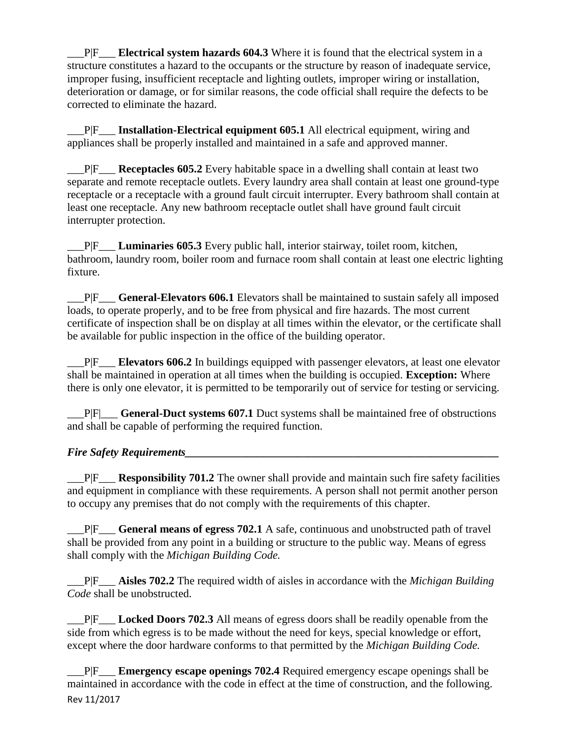\_\_\_P|F\_\_\_ **Electrical system hazards 604.3** Where it is found that the electrical system in a structure constitutes a hazard to the occupants or the structure by reason of inadequate service, improper fusing, insufficient receptacle and lighting outlets, improper wiring or installation, deterioration or damage, or for similar reasons, the code official shall require the defects to be corrected to eliminate the hazard.

\_\_\_P|F\_\_\_ **Installation-Electrical equipment 605.1** All electrical equipment, wiring and appliances shall be properly installed and maintained in a safe and approved manner.

\_\_\_P|F\_\_\_ **Receptacles 605.2** Every habitable space in a dwelling shall contain at least two separate and remote receptacle outlets. Every laundry area shall contain at least one ground-type receptacle or a receptacle with a ground fault circuit interrupter. Every bathroom shall contain at least one receptacle. Any new bathroom receptacle outlet shall have ground fault circuit interrupter protection.

\_\_\_P|F\_\_\_ **Luminaries 605.3** Every public hall, interior stairway, toilet room, kitchen, bathroom, laundry room, boiler room and furnace room shall contain at least one electric lighting fixture.

\_\_\_P|F\_\_\_ **General-Elevators 606.1** Elevators shall be maintained to sustain safely all imposed loads, to operate properly, and to be free from physical and fire hazards. The most current certificate of inspection shall be on display at all times within the elevator, or the certificate shall be available for public inspection in the office of the building operator.

\_\_\_P|F\_\_\_ **Elevators 606.2** In buildings equipped with passenger elevators, at least one elevator shall be maintained in operation at all times when the building is occupied. **Exception:** Where there is only one elevator, it is permitted to be temporarily out of service for testing or servicing.

\_\_\_P|F|\_\_\_ **General-Duct systems 607.1** Duct systems shall be maintained free of obstructions and shall be capable of performing the required function.

### *Fire Safety Requirements*

\_\_\_P|F\_\_\_ **Responsibility 701.2** The owner shall provide and maintain such fire safety facilities and equipment in compliance with these requirements. A person shall not permit another person to occupy any premises that do not comply with the requirements of this chapter.

\_\_\_P|F\_\_\_ **General means of egress 702.1** A safe, continuous and unobstructed path of travel shall be provided from any point in a building or structure to the public way. Means of egress shall comply with the *Michigan Building Code.*

\_\_\_P|F\_\_\_ **Aisles 702.2** The required width of aisles in accordance with the *Michigan Building Code* shall be unobstructed.

\_\_\_P|F\_\_\_ **Locked Doors 702.3** All means of egress doors shall be readily openable from the side from which egress is to be made without the need for keys, special knowledge or effort, except where the door hardware conforms to that permitted by the *Michigan Building Code.*

Rev 11/2017 \_\_\_P|F\_\_\_ **Emergency escape openings 702.4** Required emergency escape openings shall be maintained in accordance with the code in effect at the time of construction, and the following.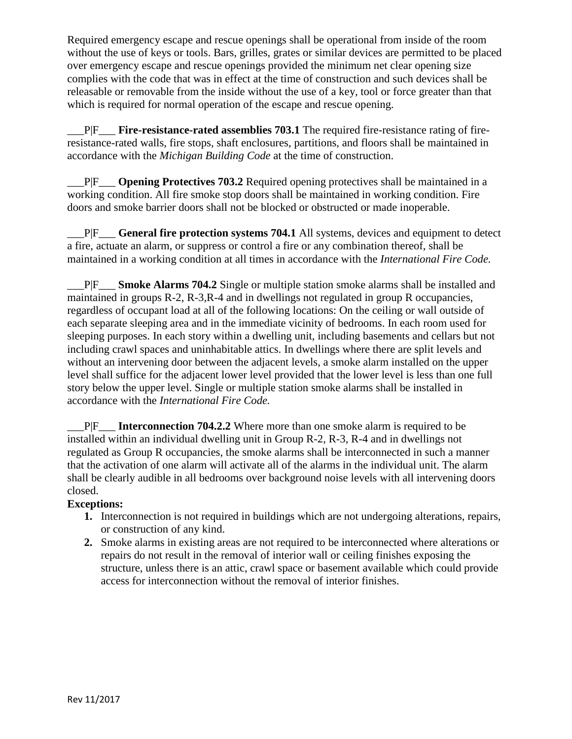Required emergency escape and rescue openings shall be operational from inside of the room without the use of keys or tools. Bars, grilles, grates or similar devices are permitted to be placed over emergency escape and rescue openings provided the minimum net clear opening size complies with the code that was in effect at the time of construction and such devices shall be releasable or removable from the inside without the use of a key, tool or force greater than that which is required for normal operation of the escape and rescue opening.

\_\_\_P|F\_\_\_ **Fire-resistance-rated assemblies 703.1** The required fire-resistance rating of fireresistance-rated walls, fire stops, shaft enclosures, partitions, and floors shall be maintained in accordance with the *Michigan Building Code* at the time of construction.

\_\_\_P|F\_\_\_ **Opening Protectives 703.2** Required opening protectives shall be maintained in a working condition. All fire smoke stop doors shall be maintained in working condition. Fire doors and smoke barrier doors shall not be blocked or obstructed or made inoperable.

\_\_\_P|F\_\_\_ **General fire protection systems 704.1** All systems, devices and equipment to detect a fire, actuate an alarm, or suppress or control a fire or any combination thereof, shall be maintained in a working condition at all times in accordance with the *International Fire Code.*

\_\_\_P|F\_\_\_ **Smoke Alarms 704.2** Single or multiple station smoke alarms shall be installed and maintained in groups R-2, R-3,R-4 and in dwellings not regulated in group R occupancies, regardless of occupant load at all of the following locations: On the ceiling or wall outside of each separate sleeping area and in the immediate vicinity of bedrooms. In each room used for sleeping purposes. In each story within a dwelling unit, including basements and cellars but not including crawl spaces and uninhabitable attics. In dwellings where there are split levels and without an intervening door between the adjacent levels, a smoke alarm installed on the upper level shall suffice for the adjacent lower level provided that the lower level is less than one full story below the upper level. Single or multiple station smoke alarms shall be installed in accordance with the *International Fire Code.*

P|F Interconnection 704.2.2 Where more than one smoke alarm is required to be installed within an individual dwelling unit in Group R-2, R-3, R-4 and in dwellings not regulated as Group R occupancies, the smoke alarms shall be interconnected in such a manner that the activation of one alarm will activate all of the alarms in the individual unit. The alarm shall be clearly audible in all bedrooms over background noise levels with all intervening doors closed.

### **Exceptions:**

- **1.** Interconnection is not required in buildings which are not undergoing alterations, repairs, or construction of any kind.
- **2.** Smoke alarms in existing areas are not required to be interconnected where alterations or repairs do not result in the removal of interior wall or ceiling finishes exposing the structure, unless there is an attic, crawl space or basement available which could provide access for interconnection without the removal of interior finishes.